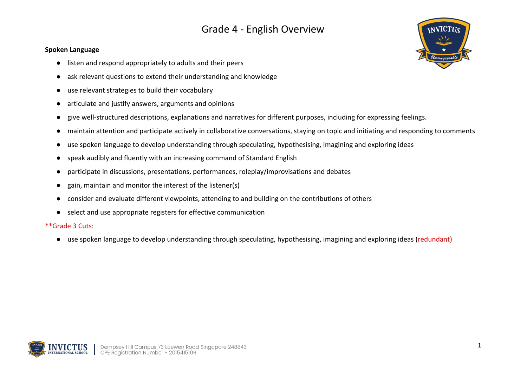#### **Spoken Language**

- listen and respond appropriately to adults and their peers
- ask relevant questions to extend their understanding and knowledge
- use relevant strategies to build their vocabulary
- articulate and justify answers, arguments and opinions
- give well-structured descriptions, explanations and narratives for different purposes, including for expressing feelings.
- maintain attention and participate actively in collaborative conversations, staying on topic and initiating and responding to comments
- use spoken language to develop understanding through speculating, hypothesising, imagining and exploring ideas
- speak audibly and fluently with an increasing command of Standard English
- participate in discussions, presentations, performances, roleplay/improvisations and debates
- gain, maintain and monitor the interest of the listener(s)
- consider and evaluate different viewpoints, attending to and building on the contributions of others
- select and use appropriate registers for effective communication

#### \*\*Grade 3 Cuts:

● use spoken language to develop understanding through speculating, hypothesising, imagining and exploring ideas (redundant)



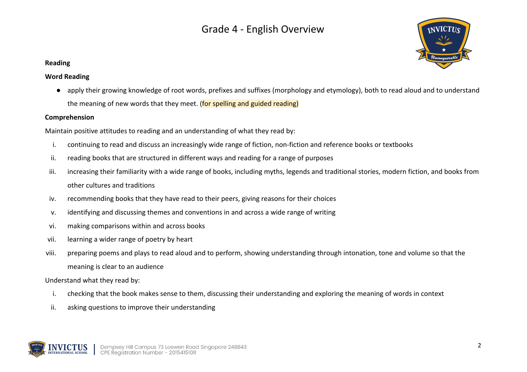

### **Reading**

### **Word Reading**

● apply their growing knowledge of root words, prefixes and suffixes (morphology and etymology), both to read aloud and to understand the meaning of new words that they meet. (for spelling and guided reading)

### **Comprehension**

Maintain positive attitudes to reading and an understanding of what they read by:

- i. continuing to read and discuss an increasingly wide range of fiction, non-fiction and reference books or textbooks
- ii. reading books that are structured in different ways and reading for a range of purposes
- iii. increasing their familiarity with a wide range of books, including myths, legends and traditional stories, modern fiction, and books from other cultures and traditions
- iv. recommending books that they have read to their peers, giving reasons for their choices
- v. identifying and discussing themes and conventions in and across a wide range of writing
- vi. making comparisons within and across books
- vii. learning a wider range of poetry by heart
- viii. preparing poems and plays to read aloud and to perform, showing understanding through intonation, tone and volume so that the meaning is clear to an audience

Understand what they read by:

- i. checking that the book makes sense to them, discussing their understanding and exploring the meaning of words in context
- ii. asking questions to improve their understanding

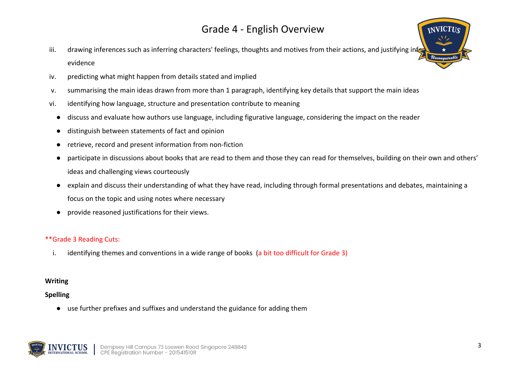- iii. drawing inferences such as inferring characters' feelings, thoughts and motives from their actions, and justifying in evidence
- iv. predicting what might happen from details stated and implied
- v. summarising the main ideas drawn from more than 1 paragraph, identifying key details that support the main ideas
- vi. identifying how language, structure and presentation contribute to meaning
	- discuss and evaluate how authors use language, including figurative language, considering the impact on the reader
	- distinguish between statements of fact and opinion
	- retrieve, record and present information from non-fiction
	- participate in discussions about books that are read to them and those they can read for themselves, building on their own and others' ideas and challenging views courteously
	- explain and discuss their understanding of what they have read, including through formal presentations and debates, maintaining a focus on the topic and using notes where necessary
	- provide reasoned justifications for their views.

### \*\*Grade 3 Reading Cuts:

i. identifying themes and conventions in a wide range of books (a bit too difficult for Grade 3)

### **Writing**

### **Spelling**

● use further prefixes and suffixes and understand the guidance for adding them



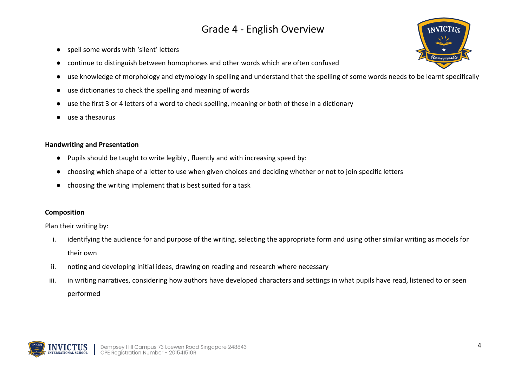- spell some words with 'silent' letters
- continue to distinguish between homophones and other words which are often confused
- use knowledge of morphology and etymology in spelling and understand that the spelling of some words needs to be learnt specifically
- use dictionaries to check the spelling and meaning of words
- use the first 3 or 4 letters of a word to check spelling, meaning or both of these in a dictionary
- use a thesaurus

### **Handwriting and Presentation**

- Pupils should be taught to write legibly , fluently and with increasing speed by:
- choosing which shape of a letter to use when given choices and deciding whether or not to join specific letters
- choosing the writing implement that is best suited for a task

### **Composition**

Plan their writing by:

- i. identifying the audience for and purpose of the writing, selecting the appropriate form and using other similar writing as models for their own
- ii. noting and developing initial ideas, drawing on reading and research where necessary
- iii. in writing narratives, considering how authors have developed characters and settings in what pupils have read, listened to or seen performed



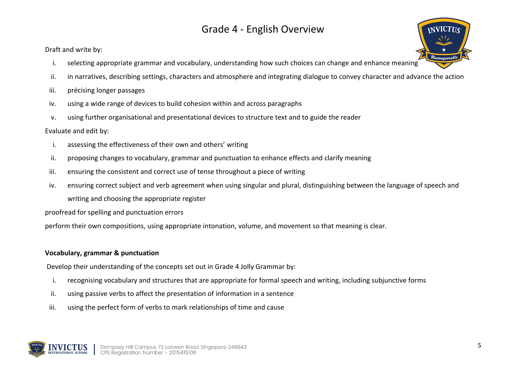Draft and write by:

- i. selecting appropriate grammar and vocabulary, understanding how such choices can change and enhance meaning
- ii. in narratives, describing settings, characters and atmosphere and integrating dialogue to convey character and advance the action
- iii. précising longer passages
- iv. using a wide range of devices to build cohesion within and across paragraphs
- v. using further organisational and presentational devices to structure text and to guide the reader

### Evaluate and edit by:

- i. assessing the effectiveness of their own and others' writing
- ii. proposing changes to vocabulary, grammar and punctuation to enhance effects and clarify meaning
- iii. ensuring the consistent and correct use of tense throughout a piece of writing
- iv. ensuring correct subject and verb agreement when using singular and plural, distinguishing between the language of speech and writing and choosing the appropriate register

proofread for spelling and punctuation errors

perform their own compositions, using appropriate intonation, volume, and movement so that meaning is clear.

### **Vocabulary, grammar & punctuation**

Develop their understanding of the concepts set out in Grade 4 Jolly Grammar by:

- i. recognising vocabulary and structures that are appropriate for formal speech and writing, including subjunctive forms
- ii. using passive verbs to affect the presentation of information in a sentence
- iii. using the perfect form of verbs to mark relationships of time and cause